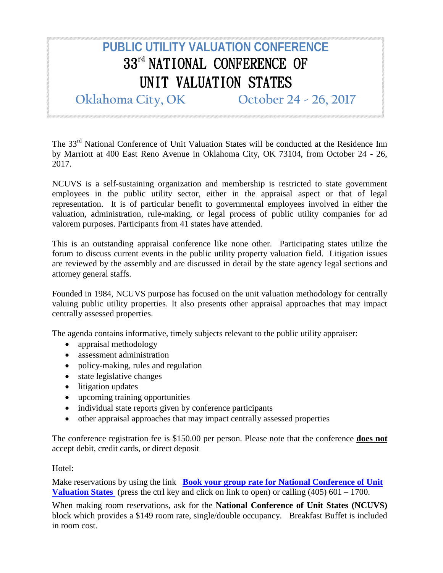## **PUBLIC UTILITY VALUATION CONFERENCE** 33<sup>rd</sup> NATIONAL CONFERENCE OF UNIT VALUATION STATES

**Oklahoma City, OK October 24 - 26, 2017**

The 33<sup>rd</sup> National Conference of Unit Valuation States will be conducted at the Residence Inn by Marriott at 400 East Reno Avenue in Oklahoma City, OK 73104, from October 24 - 26, 2017.

NCUVS is a self-sustaining organization and membership is restricted to state government employees in the public utility sector, either in the appraisal aspect or that of legal representation. It is of particular benefit to governmental employees involved in either the valuation, administration, rule-making, or legal process of public utility companies for ad valorem purposes. Participants from 41 states have attended.

This is an outstanding appraisal conference like none other. Participating states utilize the forum to discuss current events in the public utility property valuation field. Litigation issues are reviewed by the assembly and are discussed in detail by the state agency legal sections and attorney general staffs.

Founded in 1984, NCUVS purpose has focused on the unit valuation methodology for centrally valuing public utility properties. It also presents other appraisal approaches that may impact centrally assessed properties.

The agenda contains informative, timely subjects relevant to the public utility appraiser:

- appraisal methodology
- assessment administration
- policy-making, rules and regulation
- state legislative changes
- litigation updates
- upcoming training opportunities
- individual state reports given by conference participants
- other appraisal approaches that may impact centrally assessed properties

The conference registration fee is \$150.00 per person. Please note that the conference **does not** accept debit, credit cards, or direct deposit

## Hotel:

Make reservations by using the link **Book your group rate for National Conference of Unit [Valuation States](http://www.marriott.com/meeting-event-hotels/group-corporate-travel/groupCorp.mi?resLinkData=National%20Conference%20of%20Unit%20Valuation%20States%5Eokcbt%60NCUNCUA%7CNCUNCUB%60149%60USD%60false%604%6010/23/17%6010/27/17%609/25/17&app=resvlink&stop_mobi=yes)** (press the ctrl key and click on link to open) or calling (405) 601 – 1700.

When making room reservations, ask for the **National Conference of Unit States (NCUVS)** block which provides a \$149 room rate, single/double occupancy. Breakfast Buffet is included in room cost.